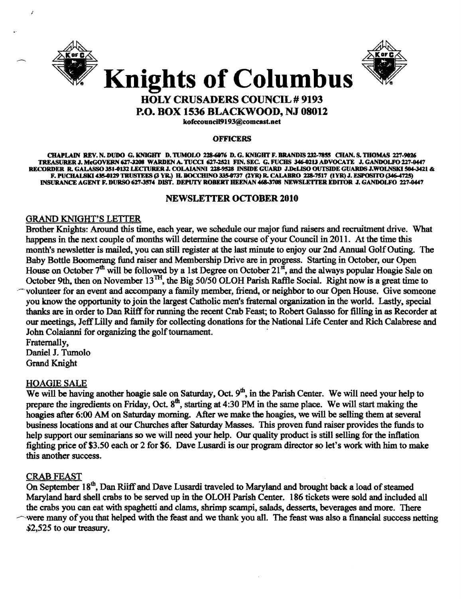

I



Knights of Columbus HOLY CRUSADERS COUNCIL # 9193

P.O. BOX 1536 BLACKWOOD, NJ 08012

kofeeouneiI9193@eomcast.aet

#### **OFFICERS**

CHAPLAIN REV. N. DUDO G. KNIGHT D. TUMOLO 228-6076 D. G. KNIGHT F. BRANDIS 232-7855 CHAN. S. THOMAS 227-9026 TREASURER J. McGOVERN 627-3208 WARDEN A. TUCCI 627-2521 FIN. SEC. G. FUCHS 346-0213 ADVOCATE J. GANDOLFO 227-0447 RECORDER R. GALASSO 351.0132 LECTURER J. COLAIANNI 228-9528 INSIDE GUARD J.DeLISO OUTSIDE GUARDS J.WOLNSKI 504-3421 & F. PUCHALSKI 435-0129 TRUSTEES (3 YR.) H. BOCCHINO 335-0737 (2YR) R. CALABRO 228-7517 (IYR) J. ESPOSITO (346-4725) INSURANCE AGENT F. DURSO 627-3574 DIST. DEPUTY ROBERT HEENAN 468-3708 NEWSLETTER EDITOR J. GANDOLFO 227-0447

# NEWSLETTER ocrOBER 2010

# ORAND KNIGHT'S LETTER

Brother Knights: Around this time, each year, we schedule our major fund raisers and recruitment drive. What happens in the next couple of months will determine the course of your Council in 2011. At the time this month's newsletter is mailed, you can still register at the last minute to enjoy our 2nd Annual Golf Outing. The Baby Bottle Boomerang fund raiser and Membership Drive are in progress. Starting in October, our Open House on October  $7<sup>th</sup>$  will be followed by a 1st Degree on October  $21<sup>st</sup>$ , and the always popular Hoagie Sale on October 9th, then on November  $13^{TH}$ , the Big 50/50 OLOH Parish Raffle Social. Right now is a great time to ~·volunteer for an event and accompany a family member, friend, or neighbor to our Open House. Give someone you know the opportunity to join the largest Catholic men's fraternal organization in the world. Lastly, special thanks are in order to Dan Riiff for running the recent Crab Feast; to Robert Galasso for filling in as Recorder at our meetings, Jeff Lilly and family for collecting donations for the National Life Center and Rich Calabrese and John Colaianni fot organizing the golf tournament. .

Fraternally, Daniel J. Tumolo Grand Knight

# **HOAGIE SALE**

We will be having another hoagie sale on Saturday, Oct.  $9<sup>th</sup>$ , in the Parish Center. We will need your help to prepare the ingredients on Friday, Oct. 8<sup>th</sup>, starting at 4:30 PM in the same place. We will start making the hoagies after 6:00 AM on Saturday morning. After we make the hoagies, we will be selling them at several business locations and at our Churches after Saturday Masses. This proven fund raiser provides the funds to help support our seminarians so we will need your help. Our quality product is still selling for the inflation fighting price of\$3.50 each or 2 for \$6. Dave Lusardi is our program director so let's work with him to make this another success.

# CRAB FEAST

On September 18<sup>th</sup>, Dan Riiff and Dave Lusardi traveled to Maryland and brought back a load of steamed Maryland hard shell crabs to be served up in the OLOH Parish Center. 186 tickets were sold and included all the crabs you can eat with spaghetti and clams, shrimp scampi, salads, desserts, beverages and more. There were many of you that helped with the feast and we thank you all. The feast was also a financial success netting \$2,525 to our treasury.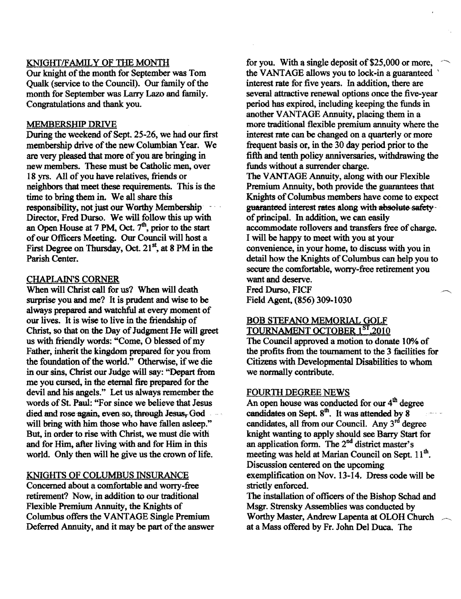## KNIGHT/FAMILY OF THE MONTH

Our knight of the month for September was Tom Qualk (service to the Council). Our family of the month for September was Larry Lazo and family. Congratulations and thank you.

#### MEMBERSHIP DRIVE

During the weekend of Sept. 25-26, we had our first membership drive of the new Columbian Year. We are very pleased that more of you are bringing in new members. These must be Catholic men, over 18 yrs. All of you have relatives, friends or neighbors that meet these requirements. This is the time to bring them in. We all share this responsibility, not just our Worthy Membership· Director, Fred Durso. We will follow this up with an Open House at 7 PM, Oct.  $7<sup>th</sup>$ , prior to the start ofour Officers Meeting. Our Council will host a First Degree on Thursday, Oct. 21<sup>st</sup>, at 8 PM in the Parish Center.

# CHAPLAIN'S CORNER

When will Christ call for us? When will death surprise you and me? It is prudent and wise to be always prepared and watchful at every moment of our lives. It is wise to live in the friendship of Christ, so that on the Day of Judgment He will greet us with friendly words: "Come, O blessed of my Father, inherit the kingdom prepared for you from the foundation of the world." Otherwise, if we die in our sins, Christ our Judge will say: "Depart from me you cursed, in the eternal fire prepared for the devil and bis angels." Let us always remember the words of St. Paul: "For since we believe that Jesus died and rose again, even-so, through Jesus, God will bring with him those who have fallen asleep." But, in order to rise with Christ, we must die witH and for Him, after living with and for Him in this world. Only then will he give us the crown of life.

#### KNIGHTS OF COLUMBUS INSURANCE

Concerned about a comfortable and worry-free retirement? Now, in addition to our traditional Flexible Premium Annuity, the Knights of Columbus offers the V ANTAOE Single Premium Deferred Annuity, and it may be part of the answer for you. With a single deposit of  $$25,000$  or more, the VANTAGE allows you to lock-in a guaranteed \ interest rate for five years. In addition. there are several attractive renewal options once the five-year period has expired, including keeping the funds in another VANTAGE Annuity, placing them in a more traditional flexible premium annuity where the interest rate can be changed on a quarterly or more frequent basis or, in the 30 day period prior to the fifth and tenth policy anniversaries, withdrawing the funds without a surrender charge.

The VANTAGE Annuity, along with our Flexible Premium Annuity, both provide the guarantees that Knights of Columbus members have come to expect guaranteed interest rates along with absolute safetyof principal. In addition, we can easily accommodate rollovers and transfers free of charge. I will be happy to meet with you at your convenience, in your home, to discuss with you in detail how the Knights of Columbus can help you to secure the comfortable, worry·free retirement you want and deserve. Fred Durso, FICF Field Agent. (856) 309-1030

#### BOB STEFANO MEMORIAL GOLF TOURNAMENT OCTOBER 1ST, 2010

The Council approved a motion to donate 10% of the profits from the tournament to the 3 facilities for Citizens with Developmental Disabilities to whom we normally contribute.

#### FOURTH DEGREE NEWS

An open house was conducted for our  $4<sup>th</sup>$  degree candidates on Sept.  $8<sup>th</sup>$ . It was attended by 8 candidates, all from our Council. Any  $3<sup>rd</sup>$  degree knight wanting to apply should see Barry Start for an application fonn. The 2nd district master's meeting was held at Marian Council on Sept.  $11<sup>th</sup>$ . Discussion centered on the upcoming exemplification on Nov. 13-14. Dress code will be strictly enforced.

The installation of officers of the Bishop Schad and Msgr. Strensky Assemblies was conducted by Worthy Master, Andrew Lapenta at OLOH Church \_\_ at a Mass offered by Fr. John Del Duca. The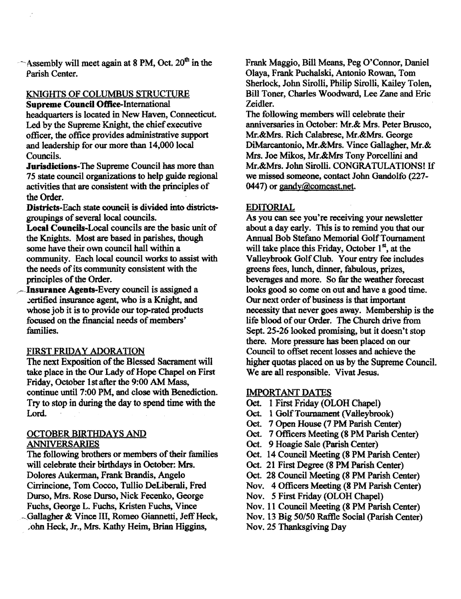$\sim$  Assembly will meet again at 8 PM, Oct. 20<sup>th</sup> in the Parish Center.

# KNIGHTS OF COLUMBUS STRUCTURE

Supreme Council Office-International headquarters is located in New Haven, Connecticut. Led by the Supreme Knight, the chief executive officer, the office provides administrative support and leadership for our more than 14,000 local Councils.

Jurisdictions-The Supreme Council has more than 75 state council organizations to help guide regional activities that are consistent with the principles of the Order.

Districts-Each state council is divided into districtsgroupings of several local councils.

Local Councils-Local councils are the basic unit of the Knights. Most are based in parishes, though some have their own council hall within a community. Each local council works to assist with the needs of its community consistent with the principles of the Order.

Insurance Agents-Every council is assigned a .;:ertified insurance agent, who is a Knight, and whose job it is to provide our top-rated products focused on the financial needs of members' families.

# FIRST FRIDAY ADORATION

The next Exposition of the Blessed Sacrament will take place in the Our Lady of Hope Chapel on First Friday, October 1st after the 9:00 AM Mass, continue until 7:00 PM, and close with Benediction. Try to stop in during the day to spend time with the Lord.

# OCTOBER BIRTHDAYS AND ANNIVERSARIES

The following brothers or members of their families will celebrate their birthdays in October: Mrs. Dolores Aukerman, Frank Brandis, Angelo Cirrincione, Tom Cocco, Tullio DeLiberali, Fred Durso, Mrs. Rose Durso, Nick Fecenko, George Fuchs, George L. Fuchs, Kristen Fuchs, Vince - Gallagher & Vince III, Romeo Giannetti, Jeff Heck, .ohn Heck, Jr., Mrs. Kathy Heim, Brian Higgins,

Frank Maggio, Bill Means, Peg O'Connor, Daniel Olaya, Frank Puchalski, Antonio Rowan, Tom Sherlock, John Sirolli, Philip Sirolli, Kailey Tolen, Bill Toner, Charles Woodward, Lee Zane and Eric Zeidler.

The following members will celebrate their anniversaries in October: Mr.& Mrs. Peter Brusco, Mr.&Mrs. Rich Calabrese, Mr.&Mrs. George DiMarcantonio, Mr.&Mrs. Vince Gallagher, Mr.& Mrs. Joe Mikos, Mr.&Mrs Tony Porcellini and Mr.&Mrs. John Sirolli. CONORA TULATIONS! If we missed someone, contact John Gandolfo (227-0447) or gandy@comcast.net.

## EDITORIAL

As you can see you're receiving your newsletter about a day early. This is to remind you that our Annual Bob Stefano Memorial OolfTournament will take place this Friday, October  $1<sup>st</sup>$ , at the Valleybrook Golf Club. Your entry fee includes greens fees, lunch, dinner, fabulous, prizes, beverages and more. So far the weather forecast looks good so come on out and have a good time. Our next order of business is that important necessity that never goes away. Membership is the life blood of our Order. The Church drive from Sept. 25-26 looked promising, but it doesn't stop there. More pressure bas been placed on our Council to offset recent losses and achieve the higher quotas placed on us by the Supreme Councll. We are all responsible. Vivat Jesus.

# IMPQRTANT DATES

- Oct. 1 First Friday (OLOH Chapel)
- Oct. 1 Golf Tournament (Valleybrook)
- Oct. 7 Open House (7 PM Parish Center)
- Oct. 7 Officers Meeting (8 PM Parish Center)
- Oct. 9 Hoagie Sale (parish Center)
- Oct. 14 Council Meeting (8 PM Parish Center)
- Oct. 21 First Degree (8 PM Parish Center)
- Oct. 28 Council Meeting (8 PM Parish Center)
- Nov. 4 Officers Meeting (8 PM Parish Center)
- Nov. 5 First Friday (OLOH Chapel)
- Nov. 11 Council Meeting (8 PM Parish Center)
- Nov. 13 Big *50/50* Raftle Social (parish Center)
- Nov. 25 Thanksgiving Day